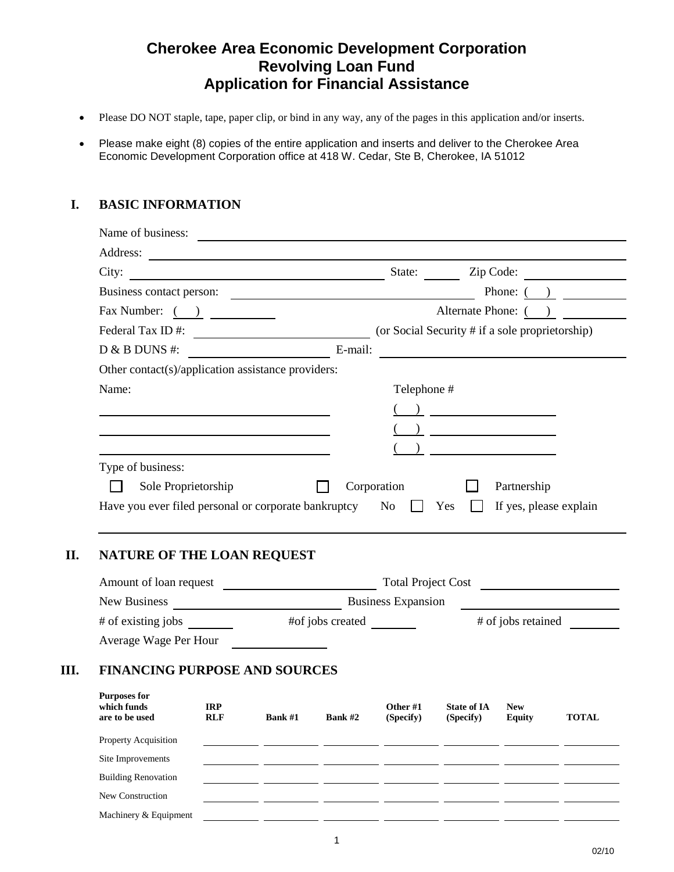## **Cherokee Area Economic Development Corporation Revolving Loan Fund Application for Financial Assistance**

- Please DO NOT staple, tape, paper clip, or bind in any way, any of the pages in this application and/or inserts.
- Please make eight (8) copies of the entire application and inserts and deliver to the Cherokee Area Economic Development Corporation office at 418 W. Cedar, Ste B, Cherokee, IA 51012

#### **I. BASIC INFORMATION**

| City:                                                                  | State:<br>Zip Code:                                               |
|------------------------------------------------------------------------|-------------------------------------------------------------------|
| Business contact person:                                               | Phone: $($ )<br><u> 1989 - Johann Barnett, fransk politiker (</u> |
| Fax Number: $\begin{pmatrix} 0 & 1 \end{pmatrix}$                      | Alternate Phone: ()                                               |
| Federal Tax ID#:                                                       | (or Social Security # if a sole proprietorship)                   |
| $D & B$ DUNS #:<br><u> 1999 - Johann Barbara, martin eta politikar</u> | E-mail:                                                           |
| Other contact(s)/application assistance providers:                     |                                                                   |
|                                                                        |                                                                   |
| Name:                                                                  | Telephone #                                                       |
|                                                                        |                                                                   |
|                                                                        |                                                                   |
|                                                                        |                                                                   |
| Type of business:                                                      |                                                                   |

#### **II. NATURE OF THE LOAN REQUEST**

|      | Amount of loan request                               | <b>Total Project Cost</b> |                           |                  |                       |                                 |                             |              |  |
|------|------------------------------------------------------|---------------------------|---------------------------|------------------|-----------------------|---------------------------------|-----------------------------|--------------|--|
|      | New Business                                         |                           | <b>Business Expansion</b> |                  |                       |                                 |                             |              |  |
|      | # of existing jobs                                   |                           |                           | #of jobs created |                       |                                 | # of jobs retained          |              |  |
|      | Average Wage Per Hour                                |                           |                           |                  |                       |                                 |                             |              |  |
| III. | <b>FINANCING PURPOSE AND SOURCES</b>                 |                           |                           |                  |                       |                                 |                             |              |  |
|      | <b>Purposes for</b><br>which funds<br>are to be used | <b>IRP</b><br><b>RLF</b>  | Bank #1                   | Rank#2           | Other #1<br>(Specify) | <b>State of IA</b><br>(Specify) | <b>New</b><br><b>Equity</b> | <b>TOTAL</b> |  |

| Property Acquisition       |  |  |  |  |
|----------------------------|--|--|--|--|
| Site Improvements          |  |  |  |  |
| <b>Building Renovation</b> |  |  |  |  |
| New Construction           |  |  |  |  |
| Machinery & Equipment      |  |  |  |  |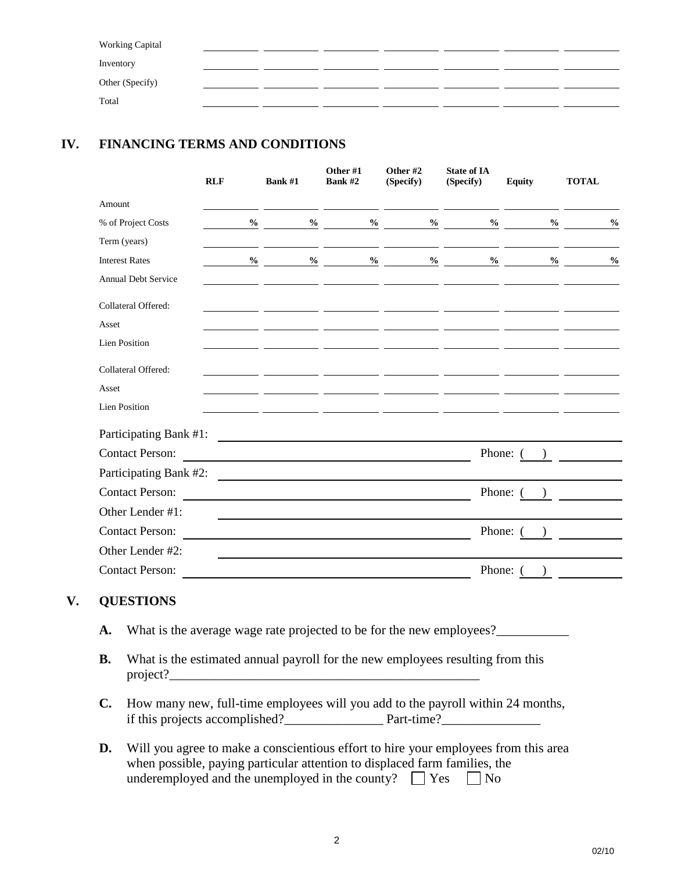| <b>Working Capital</b> |  |  |  |  |
|------------------------|--|--|--|--|
| Inventory              |  |  |  |  |
| Other (Specify)        |  |  |  |  |
| Total                  |  |  |  |  |

## **IV. FINANCING TERMS AND CONDITIONS**

|                            | <b>RLF</b>    | Bank #1                                                                                                               | Other #1<br>Bank #2 | Other #2<br>(Specify) | <b>State of IA</b><br>(Specify) | <b>Equity</b>                        | <b>TOTAL</b>  |
|----------------------------|---------------|-----------------------------------------------------------------------------------------------------------------------|---------------------|-----------------------|---------------------------------|--------------------------------------|---------------|
| Amount                     |               |                                                                                                                       |                     |                       |                                 |                                      |               |
| % of Project Costs         | $\frac{0}{0}$ | $\%$                                                                                                                  | $\%$                | $\frac{6}{10}$        | $\%$                            | $\frac{0}{0}$                        | $\frac{0}{0}$ |
| Term (years)               |               |                                                                                                                       |                     |                       |                                 |                                      |               |
| <b>Interest Rates</b>      | $\frac{6}{6}$ | $\%$                                                                                                                  | $\%$                | $\frac{0}{0}$         |                                 | $\%$<br>$\frac{0}{0}$                | $\frac{0}{0}$ |
| <b>Annual Debt Service</b> |               |                                                                                                                       |                     |                       |                                 |                                      |               |
| Collateral Offered:        |               |                                                                                                                       |                     |                       |                                 |                                      |               |
| Asset                      |               |                                                                                                                       |                     |                       |                                 |                                      |               |
| <b>Lien Position</b>       |               |                                                                                                                       |                     |                       |                                 |                                      |               |
| Collateral Offered:        |               |                                                                                                                       |                     |                       |                                 |                                      |               |
| Asset                      |               |                                                                                                                       |                     |                       |                                 |                                      |               |
| <b>Lien Position</b>       |               |                                                                                                                       |                     |                       |                                 |                                      |               |
| Participating Bank #1:     |               | <u> 1989 - Andrea State Barbara, amerikan personal di sebagai personal di sebagai personal di sebagai personal di</u> |                     |                       |                                 |                                      |               |
| <b>Contact Person:</b>     |               |                                                                                                                       |                     |                       |                                 | Phone: (<br>$\overline{\phantom{a}}$ |               |
| Participating Bank #2:     |               |                                                                                                                       |                     |                       |                                 |                                      |               |
| <b>Contact Person:</b>     |               |                                                                                                                       |                     |                       | Phone: (                        |                                      |               |
| Other Lender #1:           |               |                                                                                                                       |                     |                       |                                 |                                      |               |
| <b>Contact Person:</b>     |               |                                                                                                                       |                     |                       | Phone: 0                        |                                      |               |
| Other Lender #2:           |               |                                                                                                                       |                     |                       |                                 |                                      |               |
| <b>Contact Person:</b>     |               |                                                                                                                       |                     |                       | Phone: 0                        |                                      |               |

#### **V. QUESTIONS**

- **A.** What is the average wage rate projected to be for the new employees?\_\_\_\_\_\_\_\_\_\_\_\_\_\_
- **B.** What is the estimated annual payroll for the new employees resulting from this project?\_\_\_\_\_\_\_\_\_\_\_\_\_\_\_\_\_\_\_\_\_\_\_\_\_\_\_\_\_\_\_\_\_\_\_\_\_\_\_\_\_\_\_\_\_\_\_
- **C.** How many new, full-time employees will you add to the payroll within 24 months, if this projects accomplished?\_\_\_\_\_\_\_\_\_\_\_\_\_\_\_ Part-time?\_\_\_\_\_\_\_\_\_\_\_\_\_\_\_
- **D.** Will you agree to make a conscientious effort to hire your employees from this area when possible, paying particular attention to displaced farm families, the underemployed and the unemployed in the county?  $\Box$  Yes  $\Box$  No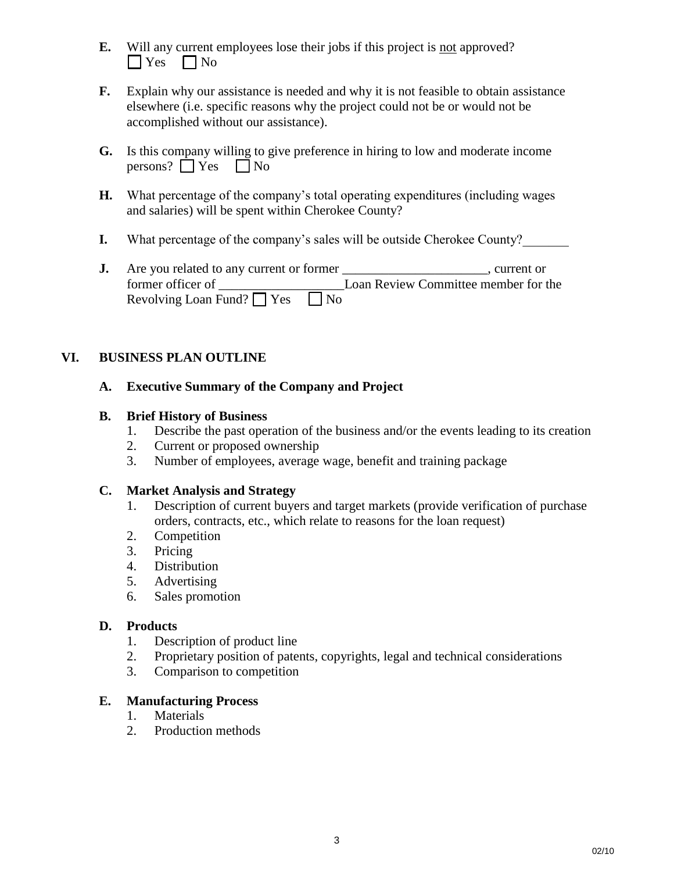- **E.** Will any current employees lose their jobs if this project is not approved?  $\Box$  Yes  $\Box$  No
- **F.** Explain why our assistance is needed and why it is not feasible to obtain assistance elsewhere (i.e. specific reasons why the project could not be or would not be accomplished without our assistance).
- **G.** Is this company willing to give preference in hiring to low and moderate income persons?  $\Box$  Yes  $\Box$  No
- **H.** What percentage of the company's total operating expenditures (including wages and salaries) will be spent within Cherokee County?
- **I.** What percentage of the company's sales will be outside Cherokee County?
- **J.** Are you related to any current or former \_\_\_\_\_\_\_\_\_\_\_\_\_\_\_\_\_\_\_\_\_, current or former officer of **Loan Review Committee member for the** Revolving Loan Fund?  $\Box$  Yes  $\Box$  No

## **VI. BUSINESS PLAN OUTLINE**

#### **A. Executive Summary of the Company and Project**

#### **B. Brief History of Business**

- 1. Describe the past operation of the business and/or the events leading to its creation
- 2. Current or proposed ownership
- 3. Number of employees, average wage, benefit and training package

#### **C. Market Analysis and Strategy**

- 1. Description of current buyers and target markets (provide verification of purchase orders, contracts, etc., which relate to reasons for the loan request)
- 2. Competition
- 3. Pricing
- 4. Distribution
- 5. Advertising
- 6. Sales promotion

## **D. Products**

- 1. Description of product line
- 2. Proprietary position of patents, copyrights, legal and technical considerations
- 3. Comparison to competition

## **E. Manufacturing Process**

- 1. Materials
- 2. Production methods

02/10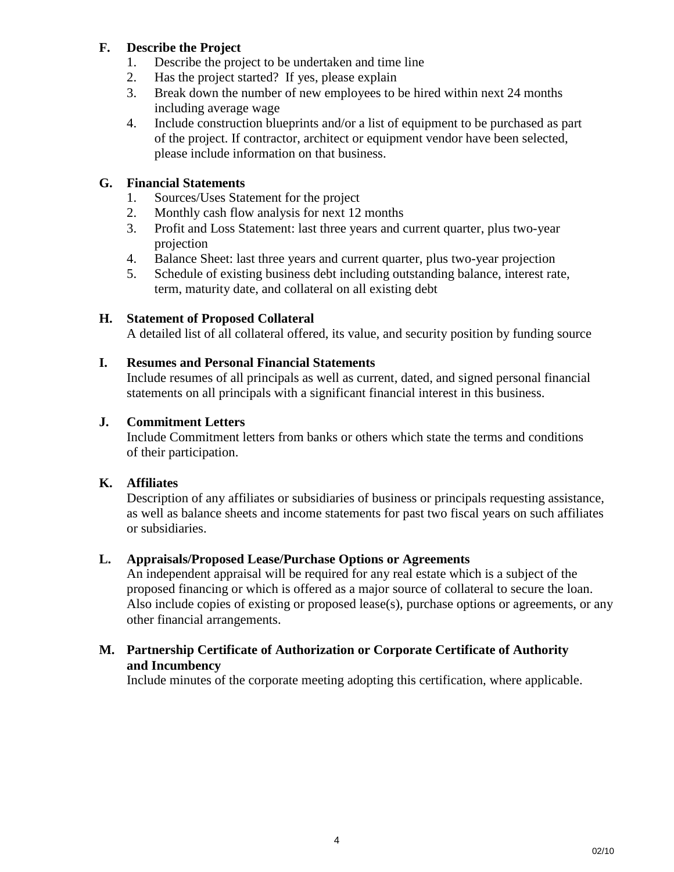#### **F. Describe the Project**

- 1. Describe the project to be undertaken and time line
- 2. Has the project started? If yes, please explain
- 3. Break down the number of new employees to be hired within next 24 months including average wage
- 4. Include construction blueprints and/or a list of equipment to be purchased as part of the project. If contractor, architect or equipment vendor have been selected, please include information on that business.

### **G. Financial Statements**

- 1. Sources/Uses Statement for the project
- 2. Monthly cash flow analysis for next 12 months
- 3. Profit and Loss Statement: last three years and current quarter, plus two-year projection
- 4. Balance Sheet: last three years and current quarter, plus two-year projection
- 5. Schedule of existing business debt including outstanding balance, interest rate, term, maturity date, and collateral on all existing debt

## **H. Statement of Proposed Collateral**

A detailed list of all collateral offered, its value, and security position by funding source

#### **I. Resumes and Personal Financial Statements**

Include resumes of all principals as well as current, dated, and signed personal financial statements on all principals with a significant financial interest in this business.

#### **J. Commitment Letters**

Include Commitment letters from banks or others which state the terms and conditions of their participation.

#### **K. Affiliates**

Description of any affiliates or subsidiaries of business or principals requesting assistance, as well as balance sheets and income statements for past two fiscal years on such affiliates or subsidiaries.

#### **L. Appraisals/Proposed Lease/Purchase Options or Agreements**

An independent appraisal will be required for any real estate which is a subject of the proposed financing or which is offered as a major source of collateral to secure the loan. Also include copies of existing or proposed lease(s), purchase options or agreements, or any other financial arrangements.

#### **M. Partnership Certificate of Authorization or Corporate Certificate of Authority and Incumbency**

Include minutes of the corporate meeting adopting this certification, where applicable.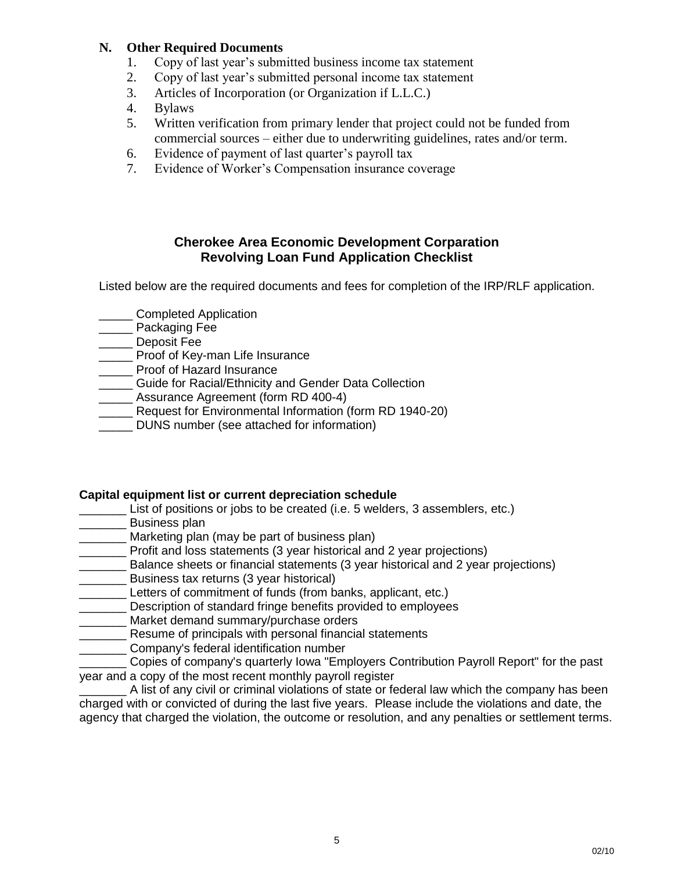#### **N. Other Required Documents**

- 1. Copy of last year's submitted business income tax statement
- 2. Copy of last year's submitted personal income tax statement
- 3. Articles of Incorporation (or Organization if L.L.C.)
- 4. Bylaws
- 5. Written verification from primary lender that project could not be funded from commercial sources – either due to underwriting guidelines, rates and/or term.
- 6. Evidence of payment of last quarter's payroll tax
- 7. Evidence of Worker's Compensation insurance coverage

#### **Cherokee Area Economic Development Corparation Revolving Loan Fund Application Checklist**

Listed below are the required documents and fees for completion of the IRP/RLF application.

- **\_\_\_\_\_\_** Completed Application
- Packaging Fee
- Deposit Fee
- \_\_\_\_\_ Proof of Key-man Life Insurance
- \_\_\_\_\_ Proof of Hazard Insurance
- \_\_\_\_\_ Guide for Racial/Ethnicity and Gender Data Collection
- Assurance Agreement (form RD 400-4)
- \_\_\_\_\_ Request for Environmental Information (form RD 1940-20)
- \_\_\_\_\_ DUNS number (see attached for information)

#### **Capital equipment list or current depreciation schedule**

- List of positions or jobs to be created (i.e. 5 welders, 3 assemblers, etc.)
- \_\_\_\_\_\_\_ Business plan
- Marketing plan (may be part of business plan)
- **Profit and loss statements (3 year historical and 2 year projections)**
- \_\_\_\_\_\_\_ Balance sheets or financial statements (3 year historical and 2 year projections)
- **EXECUTE:** Business tax returns (3 year historical)
- \_\_\_\_\_\_\_ Letters of commitment of funds (from banks, applicant, etc.)
- Description of standard fringe benefits provided to employees
- \_\_\_\_\_\_\_\_ Market demand summary/purchase orders
- Resume of principals with personal financial statements
- **Company's federal identification number**
- \_\_\_\_\_\_\_ Copies of company's quarterly Iowa "Employers Contribution Payroll Report" for the past year and a copy of the most recent monthly payroll register

A list of any civil or criminal violations of state or federal law which the company has been charged with or convicted of during the last five years. Please include the violations and date, the agency that charged the violation, the outcome or resolution, and any penalties or settlement terms.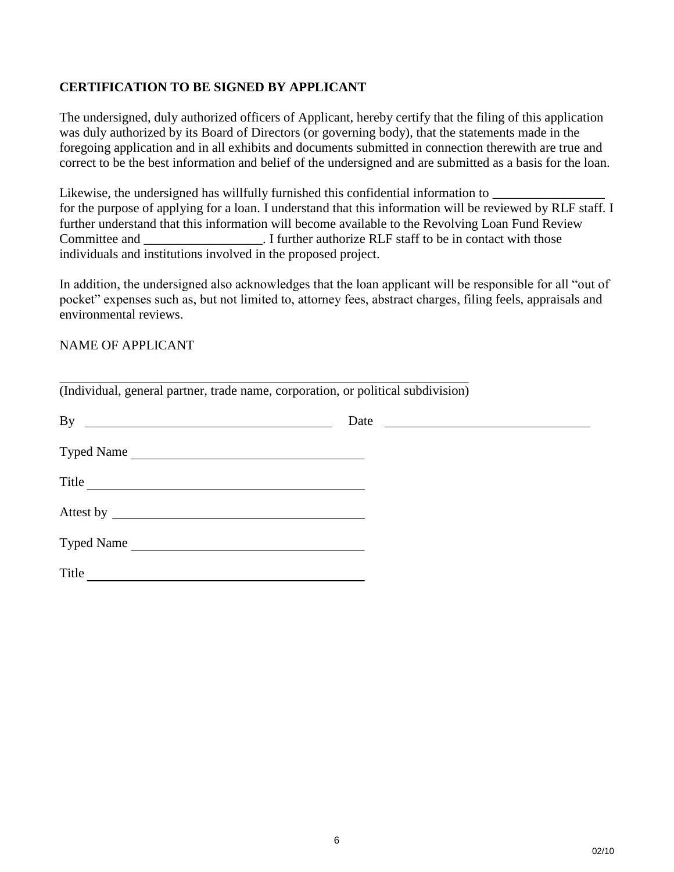#### **CERTIFICATION TO BE SIGNED BY APPLICANT**

The undersigned, duly authorized officers of Applicant, hereby certify that the filing of this application was duly authorized by its Board of Directors (or governing body), that the statements made in the foregoing application and in all exhibits and documents submitted in connection therewith are true and correct to be the best information and belief of the undersigned and are submitted as a basis for the loan.

Likewise, the undersigned has willfully furnished this confidential information to  $\Box$ for the purpose of applying for a loan. I understand that this information will be reviewed by RLF staff. I further understand that this information will become available to the Revolving Loan Fund Review Committee and The staff to be in contact with those Committee and Theorem in Let I further authorize RLF staff to be in contact with those individuals and institutions involved in the proposed project.

In addition, the undersigned also acknowledges that the loan applicant will be responsible for all "out of pocket" expenses such as, but not limited to, attorney fees, abstract charges, filing feels, appraisals and environmental reviews.

#### NAME OF APPLICANT

| (Individual, general partner, trade name, corporation, or political subdivision) |      |
|----------------------------------------------------------------------------------|------|
| By $\overline{\phantom{a}}$                                                      | Date |
| Typed Name                                                                       |      |
| Title                                                                            |      |
|                                                                                  |      |
| Typed Name                                                                       |      |
| Title                                                                            |      |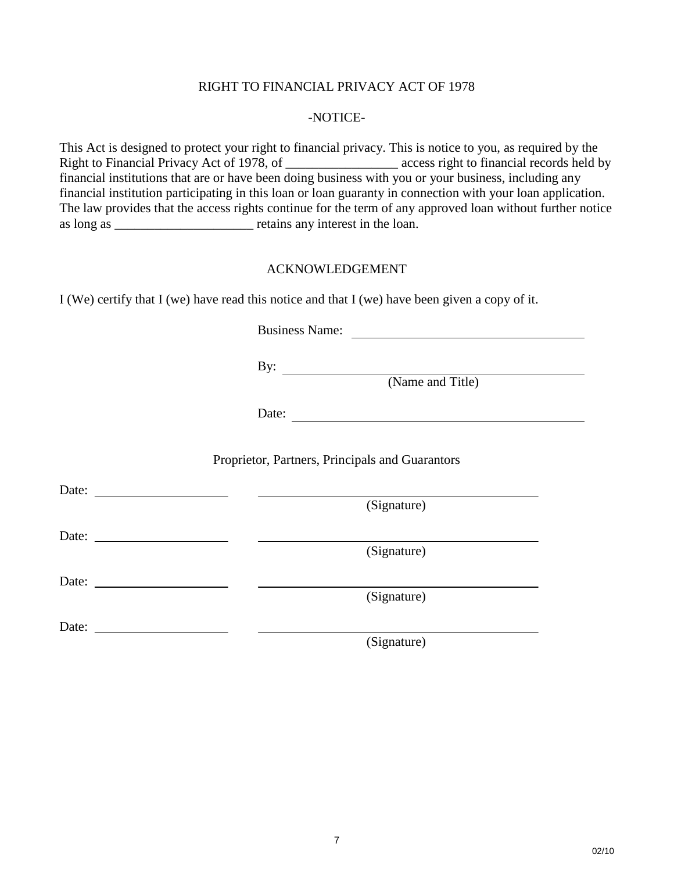#### RIGHT TO FINANCIAL PRIVACY ACT OF 1978

#### -NOTICE-

This Act is designed to protect your right to financial privacy. This is notice to you, as required by the Right to Financial Privacy Act of 1978, of \_\_\_\_\_\_\_\_\_\_\_\_\_\_\_\_\_ access right to financial records held by financial institutions that are or have been doing business with you or your business, including any financial institution participating in this loan or loan guaranty in connection with your loan application. The law provides that the access rights continue for the term of any approved loan without further notice as long as \_\_\_\_\_\_\_\_\_\_\_\_\_\_\_\_\_\_\_\_\_ retains any interest in the loan.

#### ACKNOWLEDGEMENT

I (We) certify that I (we) have read this notice and that I (we) have been given a copy of it.

Business Name:

By:

(Name and Title)

Date:

Proprietor, Partners, Principals and Guarantors

Date:

(Signature)

(Signature)

Date:

Date:

(Signature)

Date:

(Signature)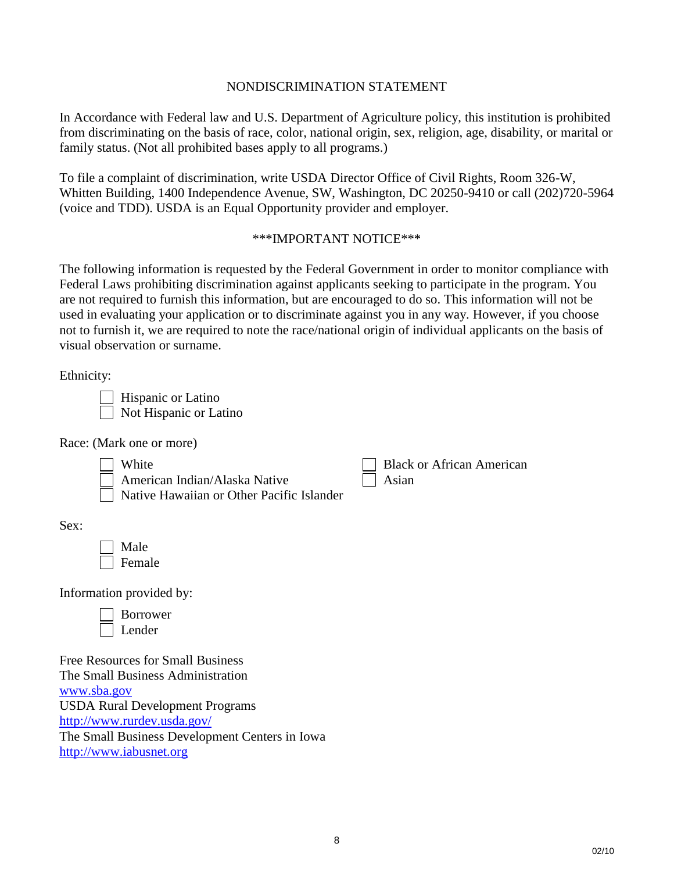#### NONDISCRIMINATION STATEMENT

In Accordance with Federal law and U.S. Department of Agriculture policy, this institution is prohibited from discriminating on the basis of race, color, national origin, sex, religion, age, disability, or marital or family status. (Not all prohibited bases apply to all programs.)

To file a complaint of discrimination, write USDA Director Office of Civil Rights, Room 326-W, Whitten Building, 1400 Independence Avenue, SW, Washington, DC 20250-9410 or call (202)720-5964 (voice and TDD). USDA is an Equal Opportunity provider and employer.

#### \*\*\*IMPORTANT NOTICE\*\*\*

The following information is requested by the Federal Government in order to monitor compliance with Federal Laws prohibiting discrimination against applicants seeking to participate in the program. You are not required to furnish this information, but are encouraged to do so. This information will not be used in evaluating your application or to discriminate against you in any way. However, if you choose not to furnish it, we are required to note the race/national origin of individual applicants on the basis of visual observation or surname.

Ethnicity:

 Hispanic or Latino Not Hispanic or Latino

Race: (Mark one or more)

| White                                     | <b>Black or African American</b> |
|-------------------------------------------|----------------------------------|
| $\Box$ American Indian/Alaska Native      | Asian                            |
| Native Hawaiian or Other Pacific Islander |                                  |

Sex:

 Male Female

Information provided by:

| Borrower |
|----------|
| Lender   |

Free Resources for Small Business The Small Business Administration [www.sba.gov](http://www.sba.gov/) USDA Rural Development Programs <http://www.rurdev.usda.gov/> The Small Business Development Centers in Iowa [http://www.iabusnet.org](http://www.iabusnet.org/)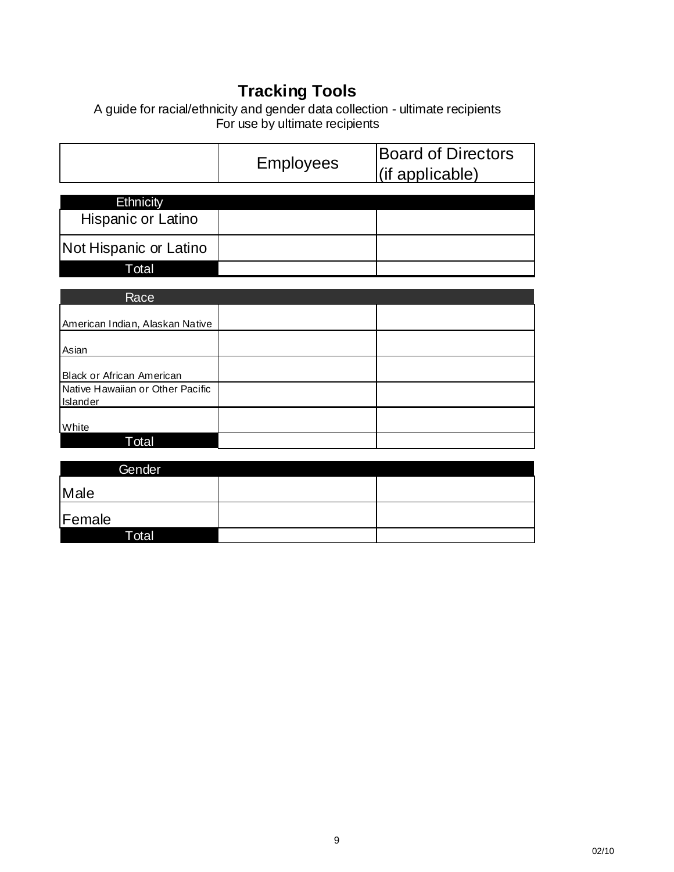# **Tracking Tools**

A guide for racial/ethnicity and gender data collection - ultimate recipients For use by ultimate recipients

|                        | <b>Employees</b> | <b>Board of Directors</b><br>(if applicable) |  |  |
|------------------------|------------------|----------------------------------------------|--|--|
| <b>Ethnicity</b>       |                  |                                              |  |  |
| Hispanic or Latino     |                  |                                              |  |  |
| Not Hispanic or Latino |                  |                                              |  |  |
| Total                  |                  |                                              |  |  |

| Race                                         |  |
|----------------------------------------------|--|
| American Indian, Alaskan Native              |  |
| Asian                                        |  |
| Black or African American                    |  |
| Native Hawaiian or Other Pacific<br>Islander |  |
| White                                        |  |
| Total                                        |  |

| Gender |  |
|--------|--|
| Male   |  |
| Female |  |
| Total  |  |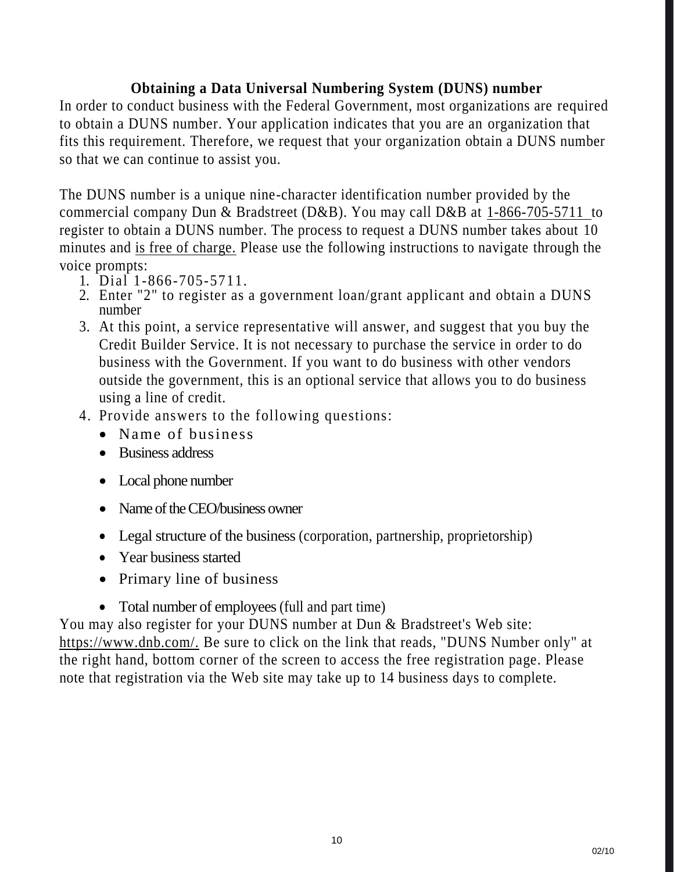# **Obtaining a Data Universal Numbering System (DUNS) number**

In order to conduct business with the Federal Government, most organizations are required to obtain a DUNS number. Your application indicates that you are an organization that fits this requirement. Therefore, we request that your organization obtain a DUNS number so that we can continue to assist you.

The DUNS number is a unique nine-character identification number provided by the commercial company Dun & Bradstreet (D&B). You may call D&B at 1-866-705-5711 to register to obtain a DUNS number. The process to request a DUNS number takes about 10 minutes and is free of charge. Please use the following instructions to navigate through the voice prompts:<br>1. Dial  $1 - 866 - 705 - 5711$ .

- 
- 2. Enter "2" to register as a government loan/grant applicant and obtain a DUNS number
- 3. At this point, a service representative will answer, and suggest that you buy the Credit Builder Service. It is not necessary to purchase the service in order to do business with the Government. If you want to do business with other vendors outside the government, this is an optional service that allows you to do business using a line of credit.
- 4. Provide answers to the following questions:
	- Name of business
	- Business address
	- Local phone number
	- Name of the CEO/business owner
	- Legal structure of the business (corporation, partnership, proprietorship)
	- Year business started
	- Primary line of business
	- Total number of employees (full and part time)

You may also register for your DUNS number at Dun & Bradstreet's Web site: https://www.dnb.com/. Be sure to click on the link that reads, "DUNS Number only" at the right hand, bottom corner of the screen to access the free registration page. Please note that registration via the Web site may take up to 14 business days to complete.